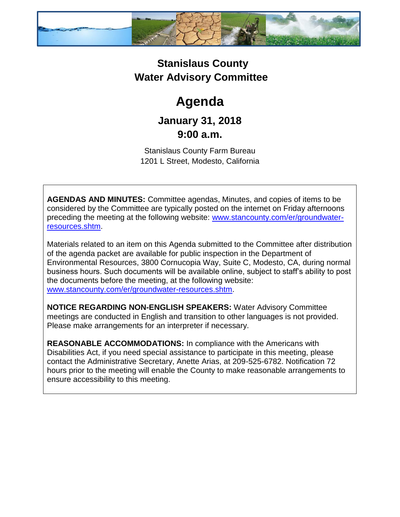

### **Stanislaus County Water Advisory Committee**

# **Agenda**

## **January 31, 2018 9:00 a.m.**

Stanislaus County Farm Bureau 1201 L Street, Modesto, California

**AGENDAS AND MINUTES:** Committee agendas, Minutes, and copies of items to be considered by the Committee are typically posted on the internet on Friday afternoons preceding the meeting at the following website: [www.stancounty.com/er/groundwater](http://www.stancounty.com/er/groundwater-resources.shtm)[resources.shtm.](http://www.stancounty.com/er/groundwater-resources.shtm)

Materials related to an item on this Agenda submitted to the Committee after distribution of the agenda packet are available for public inspection in the Department of Environmental Resources, 3800 Cornucopia Way, Suite C, Modesto, CA, during normal business hours. Such documents will be available online, subject to staff's ability to post the documents before the meeting, at the following website: [www.stancounty.com/er/groundwater-resources.shtm.](http://www.stancounty.com/er/groundwater-resources.shtm)

**NOTICE REGARDING NON-ENGLISH SPEAKERS:** Water Advisory Committee meetings are conducted in English and transition to other languages is not provided. Please make arrangements for an interpreter if necessary.

**REASONABLE ACCOMMODATIONS:** In compliance with the Americans with Disabilities Act, if you need special assistance to participate in this meeting, please contact the Administrative Secretary, Anette Arias, at 209-525-6782. Notification 72 hours prior to the meeting will enable the County to make reasonable arrangements to ensure accessibility to this meeting.